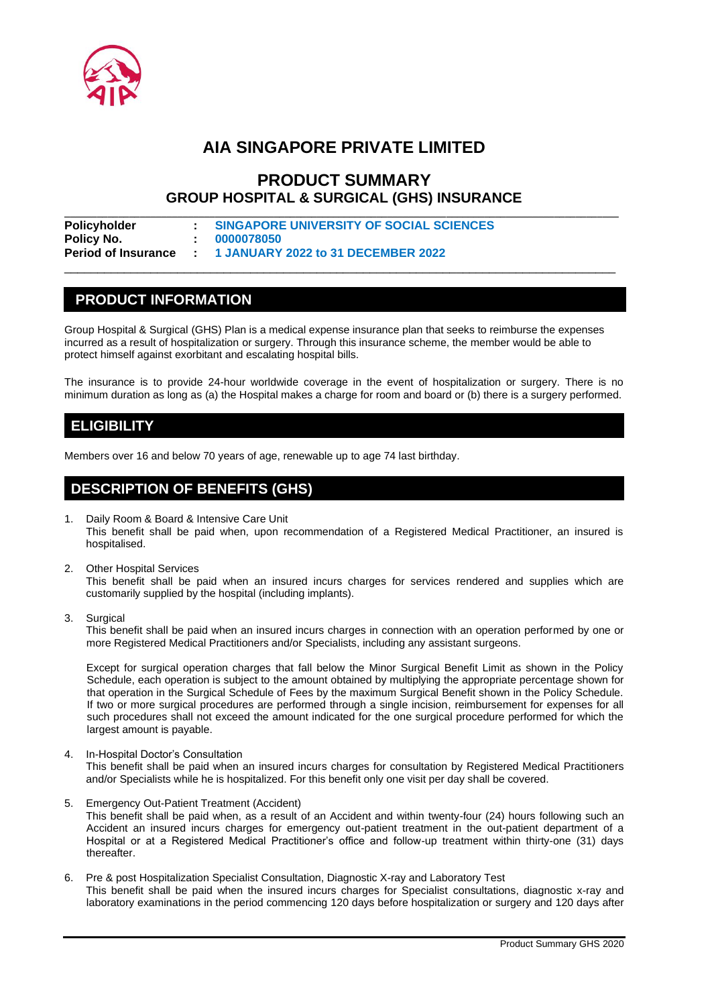

# **AIA SINGAPORE PRIVATE LIMITED**

## **PRODUCT SUMMARY GROUP HOSPITAL & SURGICAL (GHS) INSURANCE**

| Policyholder | SINGAPORE UNIVERSITY OF SOCIAL SCIENCES                  |  |
|--------------|----------------------------------------------------------|--|
| Policy No.   | 10000078050                                              |  |
|              | Period of Insurance : 1 JANUARY 2022 to 31 DECEMBER 2022 |  |

## **PRODUCT INFORMATION**

Group Hospital & Surgical (GHS) Plan is a medical expense insurance plan that seeks to reimburse the expenses incurred as a result of hospitalization or surgery. Through this insurance scheme, the member would be able to protect himself against exorbitant and escalating hospital bills.

\_\_\_\_\_\_\_\_\_\_\_\_\_\_\_\_\_\_\_\_\_\_\_\_\_\_\_\_\_\_\_\_\_\_\_\_\_\_\_\_\_\_\_\_\_\_\_\_\_\_\_\_\_\_\_\_\_\_\_\_\_\_\_\_\_\_\_\_\_\_\_\_\_\_\_\_\_\_\_\_\_\_\_

The insurance is to provide 24-hour worldwide coverage in the event of hospitalization or surgery. There is no minimum duration as long as (a) the Hospital makes a charge for room and board or (b) there is a surgery performed.

## **ELIGIBILITY**

Members over 16 and below 70 years of age, renewable up to age 74 last birthday.

## **DESCRIPTION OF BENEFITS (GHS)**

- 1. Daily Room & Board & Intensive Care Unit This benefit shall be paid when, upon recommendation of a Registered Medical Practitioner, an insured is hospitalised.
- 2. Other Hospital Services

This benefit shall be paid when an insured incurs charges for services rendered and supplies which are customarily supplied by the hospital (including implants).

3. Surgical

This benefit shall be paid when an insured incurs charges in connection with an operation performed by one or more Registered Medical Practitioners and/or Specialists, including any assistant surgeons.

Except for surgical operation charges that fall below the Minor Surgical Benefit Limit as shown in the Policy Schedule, each operation is subject to the amount obtained by multiplying the appropriate percentage shown for that operation in the Surgical Schedule of Fees by the maximum Surgical Benefit shown in the Policy Schedule. If two or more surgical procedures are performed through a single incision, reimbursement for expenses for all such procedures shall not exceed the amount indicated for the one surgical procedure performed for which the largest amount is payable.

4. In-Hospital Doctor's Consultation

This benefit shall be paid when an insured incurs charges for consultation by Registered Medical Practitioners and/or Specialists while he is hospitalized. For this benefit only one visit per day shall be covered.

- 5. Emergency Out-Patient Treatment (Accident) This benefit shall be paid when, as a result of an Accident and within twenty-four (24) hours following such an Accident an insured incurs charges for emergency out-patient treatment in the out-patient department of a Hospital or at a Registered Medical Practitioner's office and follow-up treatment within thirty-one (31) days thereafter.
- 6. Pre & post Hospitalization Specialist Consultation, Diagnostic X-ray and Laboratory Test This benefit shall be paid when the insured incurs charges for Specialist consultations, diagnostic x-ray and laboratory examinations in the period commencing 120 days before hospitalization or surgery and 120 days after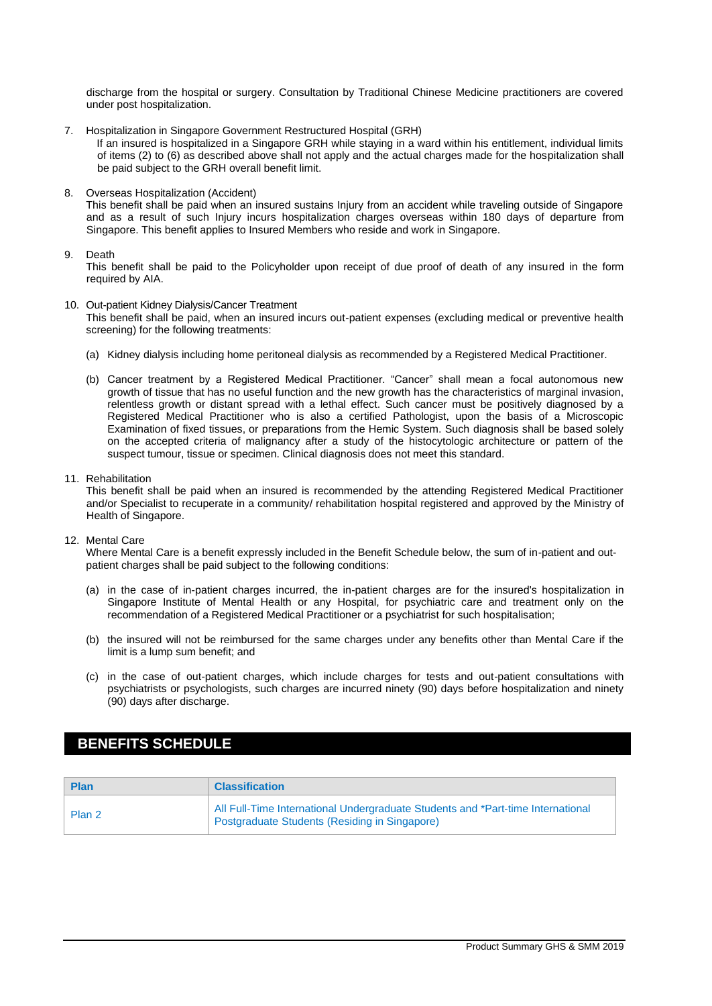discharge from the hospital or surgery. Consultation by Traditional Chinese Medicine practitioners are covered under post hospitalization.

7. Hospitalization in Singapore Government Restructured Hospital (GRH)

If an insured is hospitalized in a Singapore GRH while staying in a ward within his entitlement, individual limits of items (2) to (6) as described above shall not apply and the actual charges made for the hospitalization shall be paid subject to the GRH overall benefit limit.

8. Overseas Hospitalization (Accident)

This benefit shall be paid when an insured sustains Injury from an accident while traveling outside of Singapore and as a result of such Injury incurs hospitalization charges overseas within 180 days of departure from Singapore. This benefit applies to Insured Members who reside and work in Singapore.

### 9. Death

This benefit shall be paid to the Policyholder upon receipt of due proof of death of any insured in the form required by AIA.

- 10. Out-patient Kidney Dialysis/Cancer Treatment This benefit shall be paid, when an insured incurs out-patient expenses (excluding medical or preventive health screening) for the following treatments:
	- (a) Kidney dialysis including home peritoneal dialysis as recommended by a Registered Medical Practitioner.
	- (b) Cancer treatment by a Registered Medical Practitioner. "Cancer" shall mean a focal autonomous new growth of tissue that has no useful function and the new growth has the characteristics of marginal invasion, relentless growth or distant spread with a lethal effect. Such cancer must be positively diagnosed by a Registered Medical Practitioner who is also a certified Pathologist, upon the basis of a Microscopic Examination of fixed tissues, or preparations from the Hemic System. Such diagnosis shall be based solely on the accepted criteria of malignancy after a study of the histocytologic architecture or pattern of the suspect tumour, tissue or specimen. Clinical diagnosis does not meet this standard.
- 11. Rehabilitation

This benefit shall be paid when an insured is recommended by the attending Registered Medical Practitioner and/or Specialist to recuperate in a community/ rehabilitation hospital registered and approved by the Ministry of Health of Singapore.

12. Mental Care

Where Mental Care is a benefit expressly included in the Benefit Schedule below, the sum of in-patient and outpatient charges shall be paid subject to the following conditions:

- (a) in the case of in-patient charges incurred, the in-patient charges are for the insured's hospitalization in Singapore Institute of Mental Health or any Hospital, for psychiatric care and treatment only on the recommendation of a Registered Medical Practitioner or a psychiatrist for such hospitalisation;
- (b) the insured will not be reimbursed for the same charges under any benefits other than Mental Care if the limit is a lump sum benefit; and
- (c) in the case of out-patient charges, which include charges for tests and out-patient consultations with psychiatrists or psychologists, such charges are incurred ninety (90) days before hospitalization and ninety (90) days after discharge.

## **BENEFITS SCHEDULE**

| <b>Plan</b> | <b>Classification</b>                                                                                                            |
|-------------|----------------------------------------------------------------------------------------------------------------------------------|
| Plan 2      | All Full-Time International Undergraduate Students and *Part-time International<br>Postgraduate Students (Residing in Singapore) |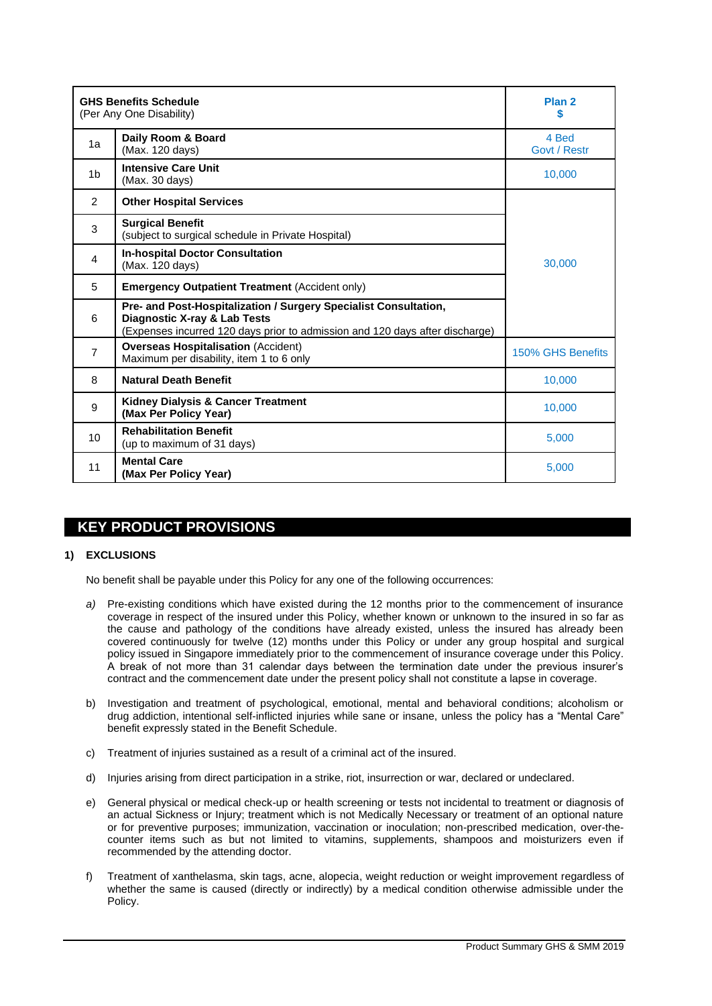| <b>GHS Benefits Schedule</b><br>(Per Any One Disability) | Plan <sub>2</sub><br>S                                                                                                                                                                      |                       |
|----------------------------------------------------------|---------------------------------------------------------------------------------------------------------------------------------------------------------------------------------------------|-----------------------|
| 1a                                                       | Daily Room & Board<br>(Max. 120 days)                                                                                                                                                       | 4 Bed<br>Govt / Restr |
| 1 <sub>b</sub>                                           | <b>Intensive Care Unit</b><br>(Max. 30 days)                                                                                                                                                | 10,000                |
| 2                                                        | <b>Other Hospital Services</b>                                                                                                                                                              |                       |
| 3                                                        | <b>Surgical Benefit</b><br>(subject to surgical schedule in Private Hospital)                                                                                                               |                       |
| 4                                                        | <b>In-hospital Doctor Consultation</b><br>(Max. 120 days)                                                                                                                                   | 30,000                |
| 5                                                        | <b>Emergency Outpatient Treatment (Accident only)</b>                                                                                                                                       |                       |
| 6                                                        | Pre- and Post-Hospitalization / Surgery Specialist Consultation,<br><b>Diagnostic X-ray &amp; Lab Tests</b><br>(Expenses incurred 120 days prior to admission and 120 days after discharge) |                       |
| $\overline{7}$                                           | <b>Overseas Hospitalisation (Accident)</b><br>Maximum per disability, item 1 to 6 only                                                                                                      | 150% GHS Benefits     |
| 8                                                        | <b>Natural Death Benefit</b>                                                                                                                                                                | 10,000                |
| 9                                                        | <b>Kidney Dialysis &amp; Cancer Treatment</b><br>(Max Per Policy Year)                                                                                                                      | 10,000                |
| 10                                                       | <b>Rehabilitation Benefit</b><br>(up to maximum of 31 days)                                                                                                                                 | 5.000                 |
| 11                                                       | <b>Mental Care</b><br>(Max Per Policy Year)                                                                                                                                                 | 5.000                 |

## **KEY PRODUCT PROVISIONS**

### **1) EXCLUSIONS**

No benefit shall be payable under this Policy for any one of the following occurrences:

- *a)* Pre-existing conditions which have existed during the 12 months prior to the commencement of insurance coverage in respect of the insured under this Policy, whether known or unknown to the insured in so far as the cause and pathology of the conditions have already existed, unless the insured has already been covered continuously for twelve (12) months under this Policy or under any group hospital and surgical policy issued in Singapore immediately prior to the commencement of insurance coverage under this Policy. A break of not more than 31 calendar days between the termination date under the previous insurer's contract and the commencement date under the present policy shall not constitute a lapse in coverage.
- b) Investigation and treatment of psychological, emotional, mental and behavioral conditions; alcoholism or drug addiction, intentional self-inflicted injuries while sane or insane, unless the policy has a "Mental Care" benefit expressly stated in the Benefit Schedule.
- c) Treatment of injuries sustained as a result of a criminal act of the insured.
- d) Injuries arising from direct participation in a strike, riot, insurrection or war, declared or undeclared.
- e) General physical or medical check-up or health screening or tests not incidental to treatment or diagnosis of an actual Sickness or Injury; treatment which is not Medically Necessary or treatment of an optional nature or for preventive purposes; immunization, vaccination or inoculation; non-prescribed medication, over-thecounter items such as but not limited to vitamins, supplements, shampoos and moisturizers even if recommended by the attending doctor.
- f) Treatment of xanthelasma, skin tags, acne, alopecia, weight reduction or weight improvement regardless of whether the same is caused (directly or indirectly) by a medical condition otherwise admissible under the Policy.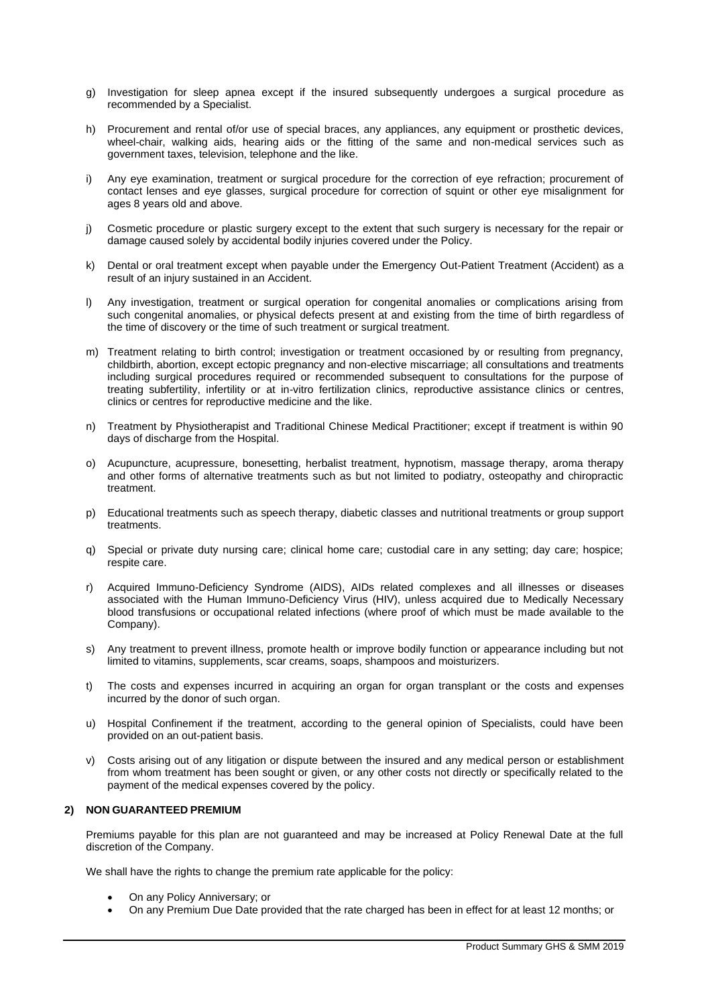- g) Investigation for sleep apnea except if the insured subsequently undergoes a surgical procedure as recommended by a Specialist.
- h) Procurement and rental of/or use of special braces, any appliances, any equipment or prosthetic devices, wheel-chair, walking aids, hearing aids or the fitting of the same and non-medical services such as government taxes, television, telephone and the like.
- i) Any eye examination, treatment or surgical procedure for the correction of eye refraction; procurement of contact lenses and eye glasses, surgical procedure for correction of squint or other eye misalignment for ages 8 years old and above.
- j) Cosmetic procedure or plastic surgery except to the extent that such surgery is necessary for the repair or damage caused solely by accidental bodily injuries covered under the Policy.
- k) Dental or oral treatment except when payable under the Emergency Out-Patient Treatment (Accident) as a result of an injury sustained in an Accident.
- l) Any investigation, treatment or surgical operation for congenital anomalies or complications arising from such congenital anomalies, or physical defects present at and existing from the time of birth regardless of the time of discovery or the time of such treatment or surgical treatment.
- m) Treatment relating to birth control; investigation or treatment occasioned by or resulting from pregnancy, childbirth, abortion, except ectopic pregnancy and non-elective miscarriage; all consultations and treatments including surgical procedures required or recommended subsequent to consultations for the purpose of treating subfertility, infertility or at in-vitro fertilization clinics, reproductive assistance clinics or centres, clinics or centres for reproductive medicine and the like.
- n) Treatment by Physiotherapist and Traditional Chinese Medical Practitioner; except if treatment is within 90 days of discharge from the Hospital.
- o) Acupuncture, acupressure, bonesetting, herbalist treatment, hypnotism, massage therapy, aroma therapy and other forms of alternative treatments such as but not limited to podiatry, osteopathy and chiropractic treatment.
- p) Educational treatments such as speech therapy, diabetic classes and nutritional treatments or group support treatments.
- q) Special or private duty nursing care; clinical home care; custodial care in any setting; day care; hospice; respite care.
- r) Acquired Immuno-Deficiency Syndrome (AIDS), AIDs related complexes and all illnesses or diseases associated with the Human Immuno-Deficiency Virus (HIV), unless acquired due to Medically Necessary blood transfusions or occupational related infections (where proof of which must be made available to the Company).
- s) Any treatment to prevent illness, promote health or improve bodily function or appearance including but not limited to vitamins, supplements, scar creams, soaps, shampoos and moisturizers.
- t) The costs and expenses incurred in acquiring an organ for organ transplant or the costs and expenses incurred by the donor of such organ.
- u) Hospital Confinement if the treatment, according to the general opinion of Specialists, could have been provided on an out-patient basis.
- v) Costs arising out of any litigation or dispute between the insured and any medical person or establishment from whom treatment has been sought or given, or any other costs not directly or specifically related to the payment of the medical expenses covered by the policy.

### **2) NON GUARANTEED PREMIUM**

Premiums payable for this plan are not guaranteed and may be increased at Policy Renewal Date at the full discretion of the Company.

We shall have the rights to change the premium rate applicable for the policy:

- On any Policy Anniversary; or
- On any Premium Due Date provided that the rate charged has been in effect for at least 12 months; or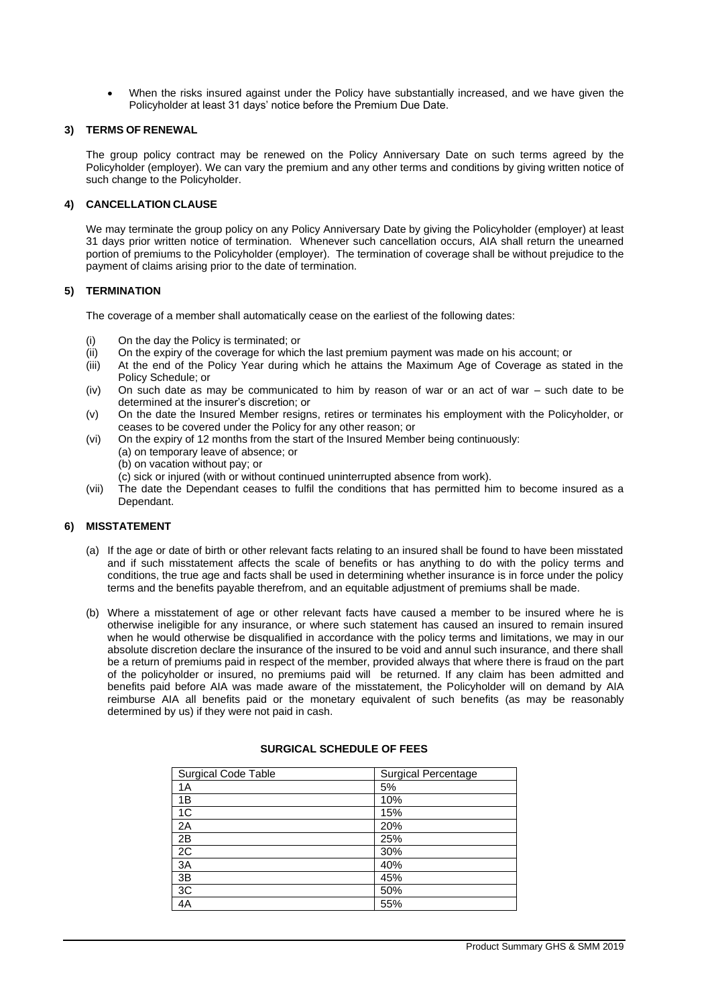When the risks insured against under the Policy have substantially increased, and we have given the Policyholder at least 31 days' notice before the Premium Due Date.

### **3) TERMS OF RENEWAL**

The group policy contract may be renewed on the Policy Anniversary Date on such terms agreed by the Policyholder (employer). We can vary the premium and any other terms and conditions by giving written notice of such change to the Policyholder.

### **4) CANCELLATION CLAUSE**

We may terminate the group policy on any Policy Anniversary Date by giving the Policyholder (employer) at least 31 days prior written notice of termination. Whenever such cancellation occurs, AIA shall return the unearned portion of premiums to the Policyholder (employer). The termination of coverage shall be without prejudice to the payment of claims arising prior to the date of termination.

### **5) TERMINATION**

The coverage of a member shall automatically cease on the earliest of the following dates:

- (i) On the day the Policy is terminated; or
- (ii) On the expiry of the coverage for which the last premium payment was made on his account; or
- (iii) At the end of the Policy Year during which he attains the Maximum Age of Coverage as stated in the Policy Schedule; or
- (iv) On such date as may be communicated to him by reason of war or an act of war such date to be determined at the insurer's discretion; or
- (v) On the date the Insured Member resigns, retires or terminates his employment with the Policyholder, or ceases to be covered under the Policy for any other reason; or
- (vi) On the expiry of 12 months from the start of the Insured Member being continuously: (a) on temporary leave of absence; or (b) on vacation without pay; or (c) sick or injured (with or without continued uninterrupted absence from work).
- (vii) The date the Dependant ceases to fulfil the conditions that has permitted him to become insured as a Dependant.

### **6) MISSTATEMENT**

- (a) If the age or date of birth or other relevant facts relating to an insured shall be found to have been misstated and if such misstatement affects the scale of benefits or has anything to do with the policy terms and conditions, the true age and facts shall be used in determining whether insurance is in force under the policy terms and the benefits payable therefrom, and an equitable adjustment of premiums shall be made.
- (b) Where a misstatement of age or other relevant facts have caused a member to be insured where he is otherwise ineligible for any insurance, or where such statement has caused an insured to remain insured when he would otherwise be disqualified in accordance with the policy terms and limitations, we may in our absolute discretion declare the insurance of the insured to be void and annul such insurance, and there shall be a return of premiums paid in respect of the member, provided always that where there is fraud on the part of the policyholder or insured, no premiums paid will be returned. If any claim has been admitted and benefits paid before AIA was made aware of the misstatement, the Policyholder will on demand by AIA reimburse AIA all benefits paid or the monetary equivalent of such benefits (as may be reasonably determined by us) if they were not paid in cash.

| Surgical Code Table | <b>Surgical Percentage</b> |
|---------------------|----------------------------|
| 1A                  | 5%                         |
| 1B                  | 10%                        |
| 1C                  | 15%                        |
| 2A                  | 20%                        |
| 2B                  | 25%                        |
| 2C                  | 30%                        |
| ЗA                  | 40%                        |
| 3B                  | 45%                        |
| 3C                  | 50%                        |
| 4A                  | 55%                        |

### **SURGICAL SCHEDULE OF FEES**